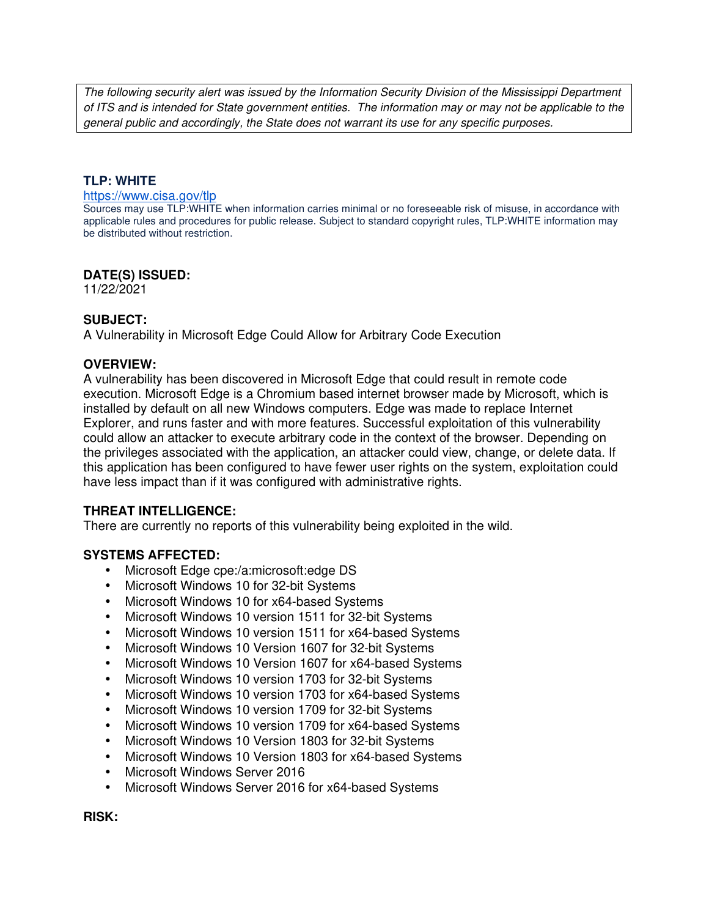The following security alert was issued by the Information Security Division of the Mississippi Department of ITS and is intended for State government entities. The information may or may not be applicable to the general public and accordingly, the State does not warrant its use for any specific purposes.

#### **TLP: WHITE**

#### https://www.cisa.gov/tlp

Sources may use TLP:WHITE when information carries minimal or no foreseeable risk of misuse, in accordance with applicable rules and procedures for public release. Subject to standard copyright rules, TLP:WHITE information may be distributed without restriction.

#### **DATE(S) ISSUED:**

11/22/2021

### **SUBJECT:**

A Vulnerability in Microsoft Edge Could Allow for Arbitrary Code Execution

### **OVERVIEW:**

A vulnerability has been discovered in Microsoft Edge that could result in remote code execution. Microsoft Edge is a Chromium based internet browser made by Microsoft, which is installed by default on all new Windows computers. Edge was made to replace Internet Explorer, and runs faster and with more features. Successful exploitation of this vulnerability could allow an attacker to execute arbitrary code in the context of the browser. Depending on the privileges associated with the application, an attacker could view, change, or delete data. If this application has been configured to have fewer user rights on the system, exploitation could have less impact than if it was configured with administrative rights.

### **THREAT INTELLIGENCE:**

There are currently no reports of this vulnerability being exploited in the wild.

### **SYSTEMS AFFECTED:**

- Microsoft Edge cpe:/a:microsoft:edge DS
- Microsoft Windows 10 for 32-bit Systems
- Microsoft Windows 10 for x64-based Systems
- Microsoft Windows 10 version 1511 for 32-bit Systems
- Microsoft Windows 10 version 1511 for x64-based Systems
- Microsoft Windows 10 Version 1607 for 32-bit Systems
- Microsoft Windows 10 Version 1607 for x64-based Systems
- Microsoft Windows 10 version 1703 for 32-bit Systems
- Microsoft Windows 10 version 1703 for x64-based Systems
- Microsoft Windows 10 version 1709 for 32-bit Systems
- Microsoft Windows 10 version 1709 for x64-based Systems
- Microsoft Windows 10 Version 1803 for 32-bit Systems
- Microsoft Windows 10 Version 1803 for x64-based Systems
- Microsoft Windows Server 2016
- Microsoft Windows Server 2016 for x64-based Systems

**RISK:**